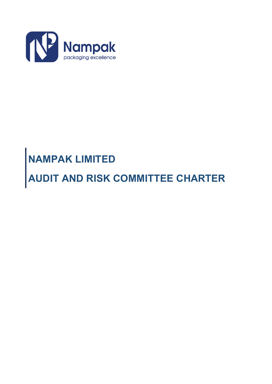

# **NAMPAK LIMITED**

**AUDIT AND RISK COMMITTEE CHARTER**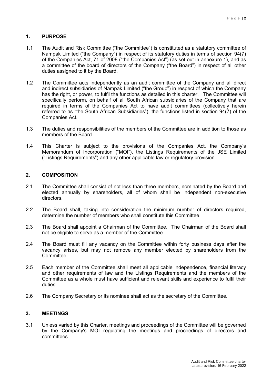# **1. PURPOSE**

- 1.1 The Audit and Risk Committee ("the Committee") is constituted as a statutory committee of Nampak Limited ("the Company") in respect of its statutory duties in terms of section 94(7) of the Companies Act, 71 of 2008 ("the Companies Act") (as set out in annexure 1), and as a committee of the board of directors of the Company ("the Board") in respect of all other duties assigned to it by the Board.
- 1.2 The Committee acts independently as an audit committee of the Company and all direct and indirect subsidiaries of Nampak Limited ("the Group") in respect of which the Company has the right, or power, to fulfil the functions as detailed in this charter. The Committee will specifically perform, on behalf of all South African subsidiaries of the Company that are required in terms of the Companies Act to have audit committees (collectively herein referred to as "the South African Subsidiaries"), the functions listed in section 94(7) of the Companies Act.
- 1.3 The duties and responsibilities of the members of the Committee are in addition to those as members of the Board.
- 1.4 This Charter is subject to the provisions of the Companies Act, the Company's Memorandum of Incorporation ("MOI"), the Listings Requirements of the JSE Limited ("Listings Requirements") and any other applicable law or regulatory provision.

# **2. COMPOSITION**

- 2.1 The Committee shall consist of not less than three members, nominated by the Board and elected annually by shareholders, all of whom shall be independent non-executive directors.
- 2.2 The Board shall, taking into consideration the minimum number of directors required, determine the number of members who shall constitute this Committee.
- 2.3 The Board shall appoint a Chairman of the Committee. The Chairman of the Board shall not be eligible to serve as a member of the Committee.
- 2.4 The Board must fill any vacancy on the Committee within forty business days after the vacancy arises, but may not remove any member elected by shareholders from the Committee.
- 2.5 Each member of the Committee shall meet all applicable independence, financial literacy and other requirements of law and the Listings Requirements and the members of the Committee as a whole must have sufficient and relevant skills and experience to fulfil their duties.
- 2.6 The Company Secretary or its nominee shall act as the secretary of the Committee.

# **3. MEETINGS**

3.1 Unless varied by this Charter, meetings and proceedings of the Committee will be governed by the Company's MOI regulating the meetings and proceedings of directors and committees.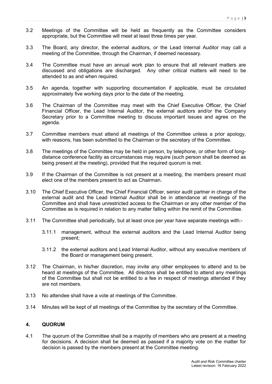- 3.2 Meetings of the Committee will be held as frequently as the Committee considers appropriate, but the Committee will meet at least three times per year.
- 3.3 The Board, any director, the external auditors, or the Lead Internal Auditor may call a meeting of the Committee, through the Chairman, if deemed necessary.
- 3.4 The Committee must have an annual work plan to ensure that all relevant matters are discussed and obligations are discharged. Any other critical matters will need to be attended to as and when required.
- 3.5 An agenda, together with supporting documentation if applicable, must be circulated approximately five working days prior to the date of the meeting.
- 3.6 The Chairman of the Committee may meet with the Chief Executive Officer, the Chief Financial Officer, the Lead Internal Auditor, the external auditors and/or the Company Secretary prior to a Committee meeting to discuss important issues and agree on the agenda.
- 3.7 Committee members must attend all meetings of the Committee unless a prior apology, with reasons, has been submitted to the Chairman or the secretary of the Committee.
- 3.8 The meetings of the Committee may be held in person, by telephone, or other form of longdistance conference facility as circumstances may require (such person shall be deemed as being present at the meeting), provided that the required quorum is met.
- 3.9 If the Chairman of the Committee is not present at a meeting, the members present must elect one of the members present to act as Chairman.
- 3.10 The Chief Executive Officer, the Chief Financial Officer, senior audit partner in charge of the external audit and the Lead Internal Auditor shall be in attendance at meetings of the Committee and shall have unrestricted access to the Chairman or any other member of the Committee as is required in relation to any matter falling within the remit of the Committee.
- 3.11 The Committee shall periodically, but at least once per year have separate meetings with:-
	- 3.11.1 management, without the external auditors and the Lead Internal Auditor being present;
	- 3.11.2 the external auditors and Lead Internal Auditor, without any executive members of the Board or management being present.
- 3.12 The Chairman, in his/her discretion, may invite any other employees to attend and to be heard at meetings of the Committee. All directors shall be entitled to attend any meetings of the Committee but shall not be entitled to a fee in respect of meetings attended if they are not members.
- 3.13 No attendee shall have a vote at meetings of the Committee.
- 3.14 Minutes will be kept of all meetings of the Committee by the secretary of the Committee.

# **4. QUORUM**

4.1 The quorum of the Committee shall be a majority of members who are present at a meeting for decisions. A decision shall be deemed as passed if a majority vote on the matter for decision is passed by the members present at the Committee meeting.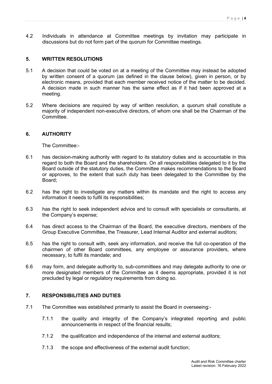4.2 Individuals in attendance at Committee meetings by invitation may participate in discussions but do not form part of the quorum for Committee meetings.

## **5. WRITTEN RESOLUTIONS**

- 5.1 A decision that could be voted on at a meeting of the Committee may instead be adopted by written consent of a quorum (as defined in the clause below), given in person, or by electronic means, provided that each member received notice of the matter to be decided. A decision made in such manner has the same effect as if it had been approved at a meeting.
- 5.2 Where decisions are required by way of written resolution, a quorum shall constitute a majority of independent non-executive directors, of whom one shall be the Chairman of the Committee.

### **6. AUTHORITY**

The Committee:-

- 6.1 has decision-making authority with regard to its statutory duties and is accountable in this regard to both the Board and the shareholders. On all responsibilities delegated to it by the Board outside of the statutory duties, the Committee makes recommendations to the Board or approves, to the extent that such duty has been delegated to the Committee by the Board;
- 6.2 has the right to investigate any matters within its mandate and the right to access any information it needs to fulfil its responsibilities;
- 6.3 has the right to seek independent advice and to consult with specialists or consultants, at the Company's expense;
- 6.4 has direct access to the Chairman of the Board, the executive directors, members of the Group Executive Committee, the Treasurer, Lead Internal Auditor and external auditors;
- 6.5 has the right to consult with, seek any information, and receive the full co-operation of the chairmen of other Board committees, any employee or assurance providers, where necessary, to fulfil its mandate; and
- 6.6 may form, and delegate authority to, sub-committees and may delegate authority to one or more designated members of the Committee as it deems appropriate, provided it is not precluded by legal or regulatory requirements from doing so.

### **7. RESPONSIBILITIES AND DUTIES**

- 7.1 The Committee was established primarily to assist the Board in overseeing:-
	- 7.1.1 the quality and integrity of the Company's integrated reporting and public announcements in respect of the financial results;
	- 7.1.2 the qualification and independence of the internal and external auditors;
	- 7.1.3 the scope and effectiveness of the external audit function;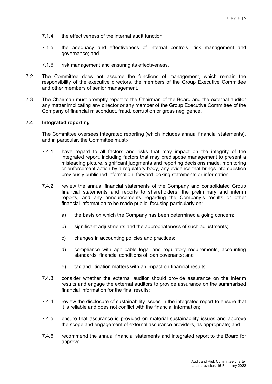- 7.1.4 the effectiveness of the internal audit function;
- 7.1.5 the adequacy and effectiveness of internal controls, risk management and governance; and
- 7.1.6 risk management and ensuring its effectiveness.
- 7.2 The Committee does not assume the functions of management, which remain the responsibility of the executive directors, the members of the Group Executive Committee and other members of senior management.
- 7.3 The Chairman must promptly report to the Chairman of the Board and the external auditor any matter implicating any director or any member of the Group Executive Committee of the Company of financial misconduct, fraud, corruption or gross negligence.

## **7.4 Integrated reporting**

The Committee oversees integrated reporting (which includes annual financial statements), and in particular, the Committee must:-

- 7.4.1 have regard to all factors and risks that may impact on the integrity of the integrated report, including factors that may predispose management to present a misleading picture, significant judgments and reporting decisions made, monitoring or enforcement action by a regulatory body, any evidence that brings into question previously published information, forward-looking statements or information;
- 7.4.2 review the annual financial statements of the Company and consolidated Group financial statements and reports to shareholders, the preliminary and interim reports, and any announcements regarding the Company's results or other financial information to be made public, focusing particularly on:
	- a) the basis on which the Company has been determined a going concern;
	- b) significant adjustments and the appropriateness of such adjustments;
	- c) changes in accounting policies and practices;
	- d) compliance with applicable legal and regulatory requirements, accounting standards, financial conditions of loan covenants; and
	- e) tax and litigation matters with an impact on financial results.
- 7.4.3 consider whether the external auditor should provide assurance on the interim results and engage the external auditors to provide assurance on the summarised financial information for the final results;
- 7.4.4 review the disclosure of sustainability issues in the integrated report to ensure that it is reliable and does not conflict with the financial information;
- 7.4.5 ensure that assurance is provided on material sustainability issues and approve the scope and engagement of external assurance providers, as appropriate; and
- 7.4.6 recommend the annual financial statements and integrated report to the Board for approval.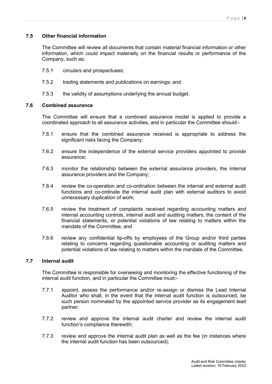# **7.5 Other financial information**

The Committee will review all documents that contain material financial information or other information, which could impact materially on the financial results or performance of the Company, such as:

- 7.5.1 circulars and prospectuses;
- 7.5.2 trading statements and publications on earnings; and
- 7.5.3 the validity of assumptions underlying the annual budget.

# **7.6 Combined assurance**

The Committee will ensure that a combined assurance model is applied to provide a coordinated approach to all assurance activities, and in particular the Committee should:-

- 7.6.1 ensure that the combined assurance received is appropriate to address the significant risks facing the Company;
- 7.6.2 ensure the independence of the external service providers appointed to provide assurance;
- 7.6.3 monitor the relationship between the external assurance providers, the internal assurance providers and the Company;
- 7.6.4 review the co-operation and co-ordination between the internal and external audit functions and co-ordinate the internal audit plan with external auditors to avoid unnecessary duplication of work;
- 7.6.5 review the treatment of complaints received regarding accounting matters and internal accounting controls, internal audit and auditing matters, the content of the financial statements, or potential violations of law relating to matters within the mandate of the Committee; and
- 7.6.6 review any confidential tip-offs by employees of the Group and/or third parties relating to concerns regarding questionable accounting or auditing matters and potential violations of law relating to matters within the mandate of the Committee.

### **7.7 Internal audit**

The Committee is responsible for overseeing and monitoring the effective functioning of the internal audit function, and in particular the Committee must:-

- 7.7.1 appoint, assess the performance and/or re-assign or dismiss the Lead Internal Auditor who shall, in the event that the internal audit function is outsourced, be such person nominated by the appointed service provider as its engagement lead partner;
- 7.7.2 review and approve the internal audit charter and review the internal audit function's compliance therewith;
- 7.7.3 review and approve the internal audit plan as well as the fee (in instances where the internal audit function has been outsourced);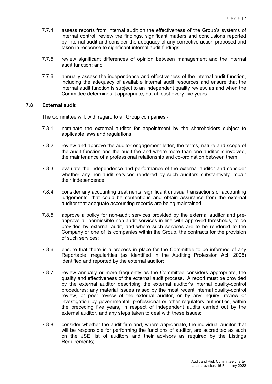- 7.7.4 assess reports from internal audit on the effectiveness of the Group's systems of internal control, review the findings, significant matters and conclusions reported by internal audit and consider the adequacy of any corrective action proposed and taken in response to significant internal audit findings;
- 7.7.5 review significant differences of opinion between management and the internal audit function; and
- 7.7.6 annually assess the independence and effectiveness of the internal audit function, including the adequacy of available internal audit resources and ensure that the internal audit function is subject to an independent quality review, as and when the Committee determines it appropriate, but at least every five years.

#### **7.8 External audit**

The Committee will, with regard to all Group companies:-

- 7.8.1 nominate the external auditor for appointment by the shareholders subject to applicable laws and regulations;
- 7.8.2 review and approve the auditor engagement letter, the terms, nature and scope of the audit function and the audit fee and where more than one auditor is involved, the maintenance of a professional relationship and co-ordination between them;
- 7.8.3 evaluate the independence and performance of the external auditor and consider whether any non-audit services rendered by such auditors substantively impair their independence;
- 7.8.4 consider any accounting treatments, significant unusual transactions or accounting judgements, that could be contentious and obtain assurance from the external auditor that adequate accounting records are being maintained;
- 7.8.5 approve a policy for non-audit services provided by the external auditor and preapprove all permissible non-audit services in line with approved thresholds, to be provided by external audit, and where such services are to be rendered to the Company or one of its companies within the Group, the contracts for the provision of such services;
- 7.8.6 ensure that there is a process in place for the Committee to be informed of any Reportable Irregularities (as identified in the Auditing Profession Act, 2005) identified and reported by the external auditor;
- 7.8.7 review annually or more frequently as the Committee considers appropriate, the quality and effectiveness of the external audit process. A report must be provided by the external auditor describing the external auditor's internal quality-control procedures; any material issues raised by the most recent internal quality-control review, or peer review of the external auditor, or by any inquiry, review or investigation by governmental, professional or other regulatory authorities, within the preceding five years, in respect of independent audits carried out by the external auditor, and any steps taken to deal with these issues;
- 7.8.8 consider whether the audit firm and, where appropriate, the individual auditor that will be responsible for performing the functions of auditor, are accredited as such on the JSE list of auditors and their advisors as required by the Listings Requirements;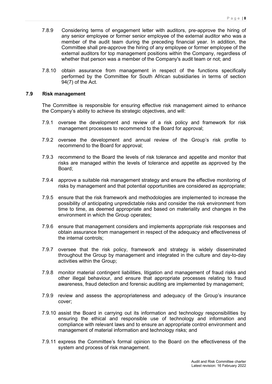- 7.8.9 Considering terms of engagement letter with auditors, pre-approve the hiring of any senior employee or former senior employee of the external auditor who was a member of the audit team during the preceding financial year. In addition, the Committee shall pre-approve the hiring of any employee or former employee of the external auditors for top management positions within the Company, regardless of whether that person was a member of the Company's audit team or not; and
- 7.8.10 obtain assurance from management in respect of the functions specifically performed by the Committee for South African subsidiaries in terms of section 94(7) of the Act.

#### **7.9 Risk management**

The Committee is responsible for ensuring effective risk management aimed to enhance the Company's ability to achieve its strategic objectives, and will:

- 7.9.1 oversee the development and review of a risk policy and framework for risk management processes to recommend to the Board for approval;
- 7.9.2 oversee the development and annual review of the Group's risk profile to recommend to the Board for approval;
- 7.9.3 recommend to the Board the levels of risk tolerance and appetite and monitor that risks are managed within the levels of tolerance and appetite as approved by the Board;
- 7.9.4 approve a suitable risk management strategy and ensure the effective monitoring of risks by management and that potential opportunities are considered as appropriate;
- 7.9.5 ensure that the risk framework and methodologies are implemented to increase the possibility of anticipating unpredictable risks and consider the risk environment from time to time, as deemed appropriate and based on materiality and changes in the environment in which the Group operates;
- 7.9.6 ensure that management considers and implements appropriate risk responses and obtain assurance from management in respect of the adequacy and effectiveness of the internal controls;
- 7.9.7 oversee that the risk policy, framework and strategy is widely disseminated throughout the Group by management and integrated in the culture and day-to-day activities within the Group;
- 7.9.8 monitor material contingent liabilities, litigation and management of fraud risks and other illegal behaviour, and ensure that appropriate processes relating to fraud awareness, fraud detection and forensic auditing are implemented by management;
- 7.9.9 review and assess the appropriateness and adequacy of the Group's insurance cover;
- 7.9.10 assist the Board in carrying out its information and technology responsibilities by ensuring the ethical and responsible use of technology and information and compliance with relevant laws and to ensure an appropriate control environment and management of material information and technology risks; and
- 7.9.11 express the Committee's formal opinion to the Board on the effectiveness of the system and process of risk management.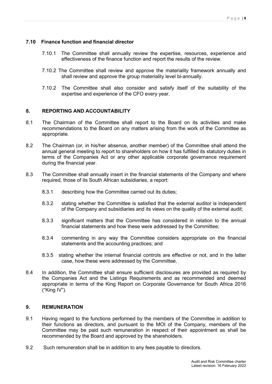# **7.10 Finance function and financial director**

- 7.10.1 The Committee shall annually review the expertise, resources, experience and effectiveness of the finance function and report the results of the review.
- 7.10.2 The Committee shall review and approve the materiality framework annually and shall review and approve the group materiality level bi-annually.
- 7.10.2 The Committee shall also consider and satisfy itself of the suitability of the expertise and experience of the CFO every year.

# **8. REPORTING AND ACCOUNTABILITY**

- 8.1 The Chairman of the Committee shall report to the Board on its activities and make recommendations to the Board on any matters arising from the work of the Committee as appropriate.
- 8.2 The Chairman (or, in his/her absence, another member) of the Committee shall attend the annual general meeting to report to shareholders on how it has fulfilled its statutory duties in terms of the Companies Act or any other applicable corporate governance requirement during the financial year.
- 8.3 The Committee shall annually insert in the financial statements of the Company and where required, those of its South African subsidiaries, a report:
	- 8.3.1 describing how the Committee carried out its duties;
	- 8.3.2 stating whether the Committee is satisfied that the external auditor is independent of the Company and subsidiaries and its views on the quality of the external audit;
	- 8.3.3 significant matters that the Committee has considered in relation to the annual financial statements and how these were addressed by the Committee;
	- 8.3.4 commenting in any way the Committee considers appropriate on the financial statements and the accounting practices; and
	- 8.3.5 stating whether the internal financial controls are effective or not, and in the latter case, how these were addressed by the Committee.
- 8.4 In addition, the Committee shall ensure sufficient disclosures are provided as required by the Companies Act and the Listings Requirements and as recommended and deemed appropriate in terms of the King Report on Corporate Governance for South Africa 2016 ("King IV").

# **9. REMUNERATION**

- 9.1 Having regard to the functions performed by the members of the Committee in addition to their functions as directors, and pursuant to the MOI of the Company, members of the Committee may be paid such remuneration in respect of their appointment as shall be recommended by the Board and approved by the shareholders.
- 9.2 Such remuneration shall be in addition to any fees payable to directors.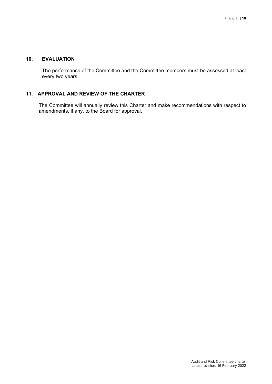# **10. EVALUATION**

The performance of the Committee and the Committee members must be assessed at least every two years.

# **11. APPROVAL AND REVIEW OF THE CHARTER**

The Committee will annually review this Charter and make recommendations with respect to amendments, if any, to the Board for approval.